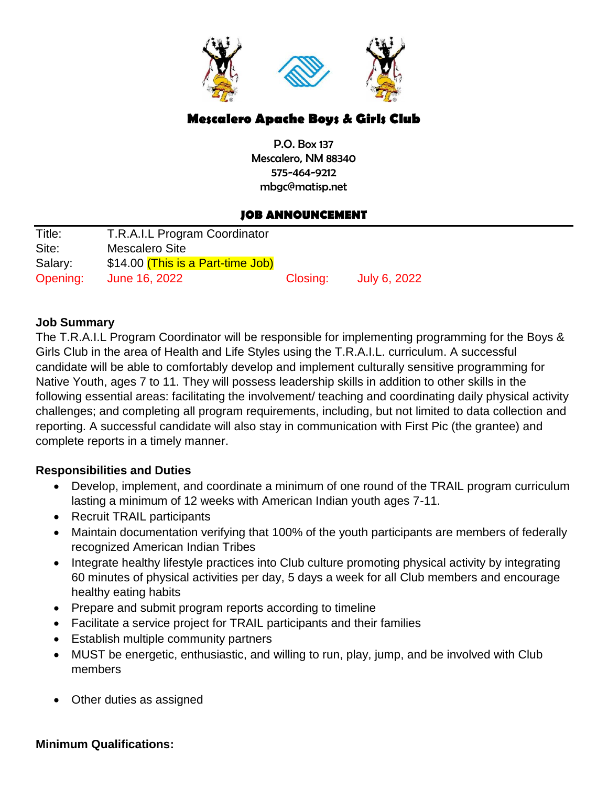

# **Mescalero Apache Boys & Girls Club**

P.O. Box 137 Mescalero, NM 88340 575-464-9212 mbgc@matisp.net

## **JOB ANNOUNCEMENT**

| Title:   | T.R.A.I.L Program Coordinator    |          |              |
|----------|----------------------------------|----------|--------------|
| Site:    | Mescalero Site                   |          |              |
| Salary:  | \$14.00 This is a Part-time Job) |          |              |
| Opening: | June 16, 2022                    | Closing: | July 6, 2022 |

## **Job Summary**

The T.R.A.I.L Program Coordinator will be responsible for implementing programming for the Boys & Girls Club in the area of Health and Life Styles using the T.R.A.I.L. curriculum. A successful candidate will be able to comfortably develop and implement culturally sensitive programming for Native Youth, ages 7 to 11. They will possess leadership skills in addition to other skills in the following essential areas: facilitating the involvement/ teaching and coordinating daily physical activity challenges; and completing all program requirements, including, but not limited to data collection and reporting. A successful candidate will also stay in communication with First Pic (the grantee) and complete reports in a timely manner.

# **Responsibilities and Duties**

- Develop, implement, and coordinate a minimum of one round of the TRAIL program curriculum lasting a minimum of 12 weeks with American Indian youth ages 7-11.
- Recruit TRAIL participants
- Maintain documentation verifying that 100% of the youth participants are members of federally recognized American Indian Tribes
- Integrate healthy lifestyle practices into Club culture promoting physical activity by integrating 60 minutes of physical activities per day, 5 days a week for all Club members and encourage healthy eating habits
- Prepare and submit program reports according to timeline
- Facilitate a service project for TRAIL participants and their families
- Establish multiple community partners
- MUST be energetic, enthusiastic, and willing to run, play, jump, and be involved with Club members
- Other duties as assigned

#### **Minimum Qualifications:**